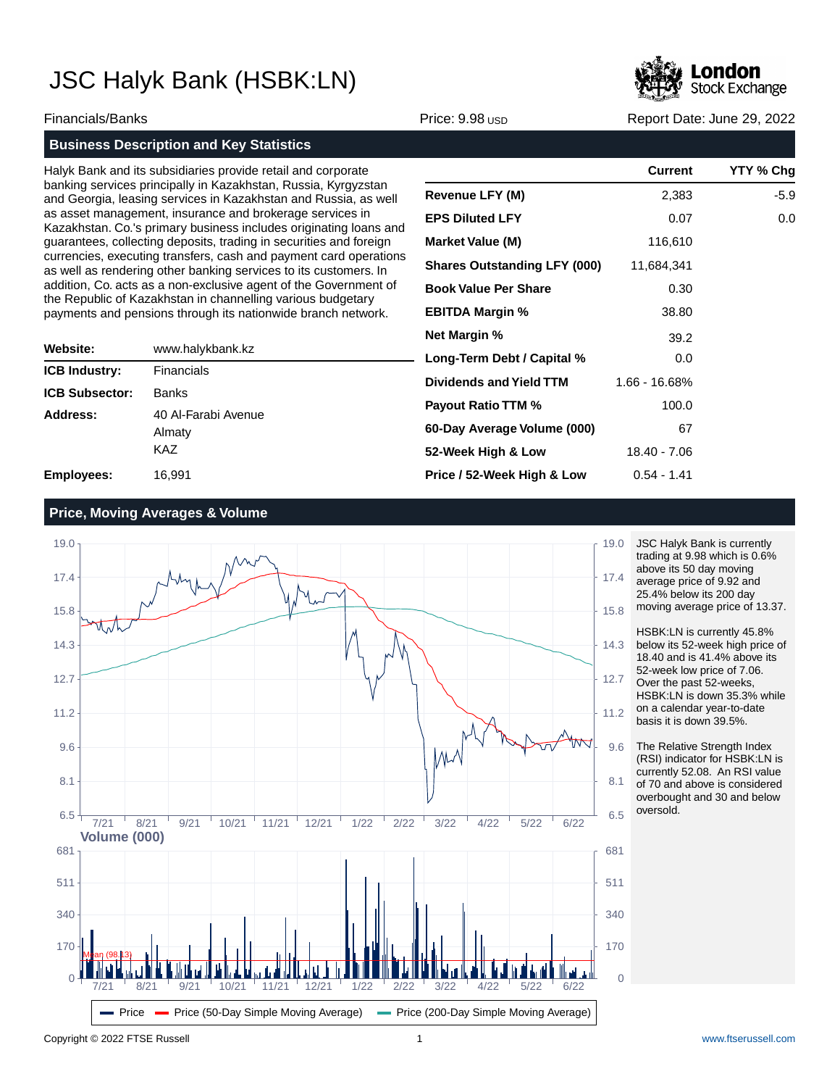

Financials/Banks **Price: 9.98 USD Report Date: June 29, 2022** Report Date: June 29, 2022

## **Business Description and Key Statistics**

Halyk Bank and its subsidiaries provide retail and corporate banking services principally in Kazakhstan, Russia, Kyrgyzstan and Georgia, leasing services in Kazakhstan and Russia, as well as asset management, insurance and brokerage services in Kazakhstan. Co.'s primary business includes originating loans and guarantees, collecting deposits, trading in securities and foreign currencies, executing transfers, cash and payment card operations as well as rendering other banking services to its customers. In addition, Co. acts as a non-exclusive agent of the Government of the Republic of Kazakhstan in channelling various budgetary payments and pensions through its nationwide branch network.

| Website:              | www.halykbank.kz                     |  |  |  |
|-----------------------|--------------------------------------|--|--|--|
| <b>ICB Industry:</b>  | Financials                           |  |  |  |
| <b>ICB Subsector:</b> | <b>Banks</b>                         |  |  |  |
| Address:              | 40 Al-Farabi Avenue<br>Almaty<br>KAZ |  |  |  |
| <b>Employees:</b>     | 16,991                               |  |  |  |

| <b>Current</b> | YTY % Chq |
|----------------|-----------|
| 2,383          | $-5.9$    |
| 0.07           | 0.0       |
| 116,610        |           |
| 11,684,341     |           |
| 0.30           |           |
| 38.80          |           |
| 39.2           |           |
| 0.0            |           |
| 1.66 - 16.68%  |           |
| 100.0          |           |
| 67             |           |
| 18.40 - 7.06   |           |
| $0.54 - 1.41$  |           |
|                |           |

### **Price, Moving Averages & Volume**



JSC Halyk Bank is currently trading at 9.98 which is 0.6% above its 50 day moving average price of 9.92 and 25.4% below its 200 day moving average price of 13.37.

HSBK:LN is currently 45.8% below its 52-week high price of 18.40 and is 41.4% above its 52-week low price of 7.06. Over the past 52-weeks, HSBK:LN is down 35.3% while on a calendar year-to-date basis it is down 39.5%.

The Relative Strength Index (RSI) indicator for HSBK:LN is currently 52.08. An RSI value of 70 and above is considered overbought and 30 and below oversold.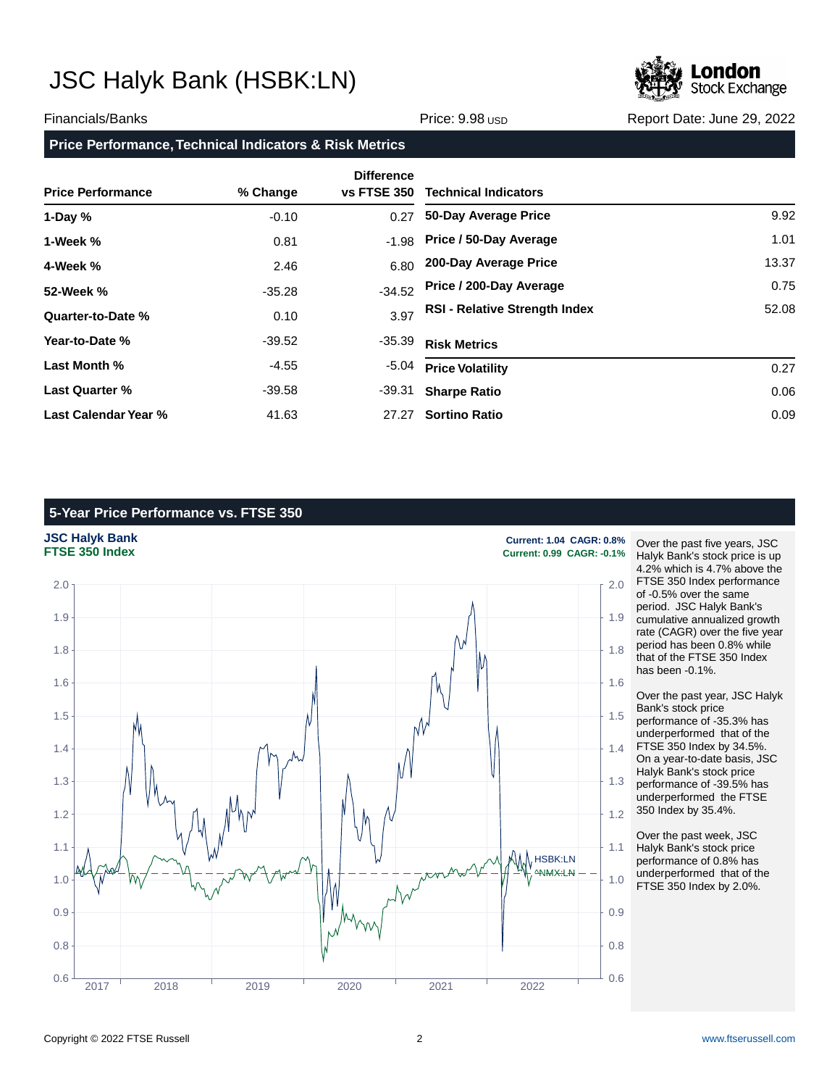

### Financials/Banks **Price: 9.98 USD Report Date: June 29, 2022** Report Date: June 29, 2022

### **Price Performance, Technical Indicators & Risk Metrics**

| <b>Price Performance</b> | % Change | <b>Difference</b><br>vs FTSE 350 | <b>Technical Indicators</b>          |       |
|--------------------------|----------|----------------------------------|--------------------------------------|-------|
| 1-Day $%$                | $-0.10$  | 0.27                             | 50-Day Average Price                 | 9.92  |
| 1-Week %                 | 0.81     | $-1.98$                          | Price / 50-Day Average               | 1.01  |
| 4-Week %                 | 2.46     | 6.80                             | 200-Day Average Price                | 13.37 |
| 52-Week %                | $-35.28$ | $-34.52$                         | Price / 200-Day Average              | 0.75  |
| Quarter-to-Date %        | 0.10     | 3.97                             | <b>RSI - Relative Strength Index</b> | 52.08 |
| Year-to-Date %           | $-39.52$ | -35.39                           | <b>Risk Metrics</b>                  |       |
| Last Month %             | $-4.55$  | $-5.04$                          | <b>Price Volatility</b>              | 0.27  |
| <b>Last Quarter %</b>    | $-39.58$ | -39.31                           | <b>Sharpe Ratio</b>                  | 0.06  |
| Last Calendar Year %     | 41.63    | 27.27                            | <b>Sortino Ratio</b>                 | 0.09  |

### **5-Year Price Performance vs. FTSE 350**



Over the past five years, JSC Halyk Bank's stock price is up 4.2% which is 4.7% above the FTSE 350 Index performance of -0.5% over the same period. JSC Halyk Bank's cumulative annualized growth rate (CAGR) over the five year period has been 0.8% while that of the FTSE 350 Index has been -0.1%.

Over the past year, JSC Halyk Bank's stock price performance of -35.3% has underperformed that of the FTSE 350 Index by 34.5%. On a year-to-date basis, JSC Halyk Bank's stock price performance of -39.5% has underperformed the FTSE 350 Index by 35.4%.

Over the past week, JSC Halyk Bank's stock price performance of 0.8% has underperformed that of the FTSE 350 Index by 2.0%.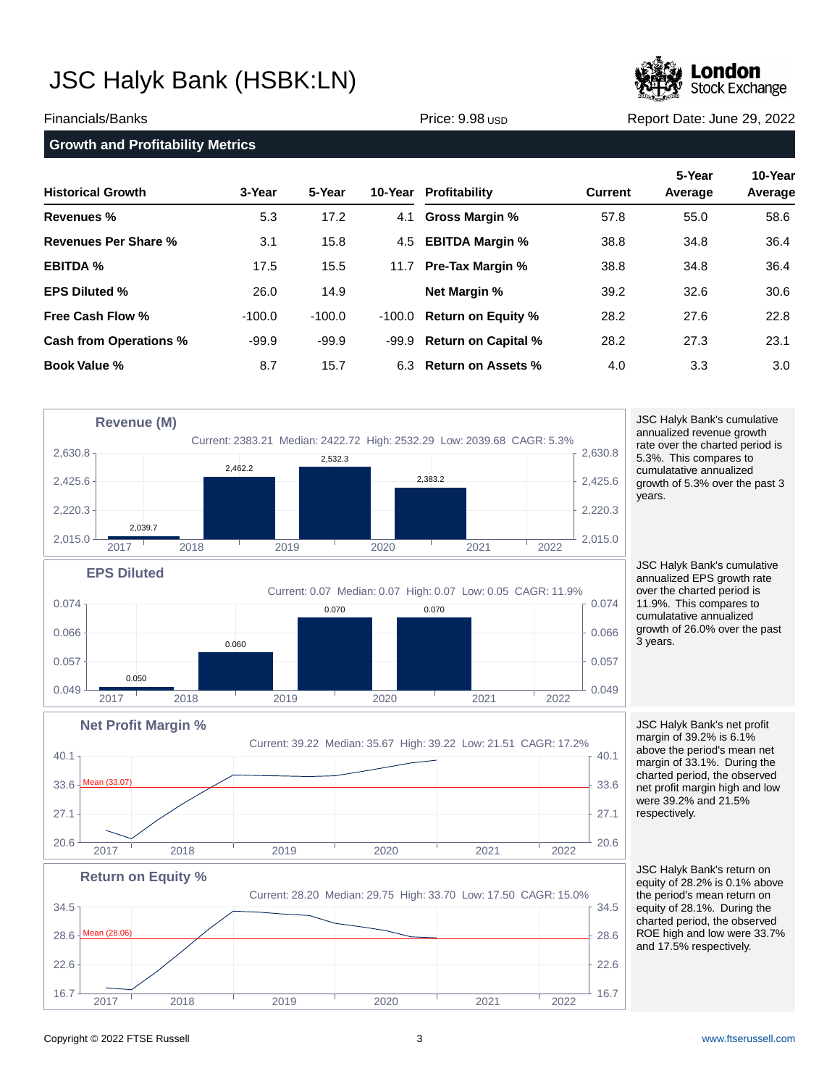

Financials/Banks **Price: 9.98 USD Report Date: June 29, 2022** Report Date: June 29, 2022

| <b>Growth and Profitability Metrics</b> |          |          |         |                            |                |                   |                    |
|-----------------------------------------|----------|----------|---------|----------------------------|----------------|-------------------|--------------------|
| <b>Historical Growth</b>                | 3-Year   | 5-Year   | 10-Year | Profitability              | <b>Current</b> | 5-Year<br>Average | 10-Year<br>Average |
| <b>Revenues %</b>                       | 5.3      | 17.2     | 4.1     | <b>Gross Margin %</b>      | 57.8           | 55.0              | 58.6               |
| Revenues Per Share %                    | 3.1      | 15.8     |         | 4.5 EBITDA Margin %        | 38.8           | 34.8              | 36.4               |
| <b>EBITDA %</b>                         | 17.5     | 15.5     | 11.7    | <b>Pre-Tax Margin %</b>    | 38.8           | 34.8              | 36.4               |
| <b>EPS Diluted %</b>                    | 26.0     | 14.9     |         | <b>Net Margin %</b>        | 39.2           | 32.6              | 30.6               |
| <b>Free Cash Flow %</b>                 | $-100.0$ | $-100.0$ | -100.0  | <b>Return on Equity %</b>  | 28.2           | 27.6              | 22.8               |
| Cash from Operations %                  | $-99.9$  | $-99.9$  | -99.9   | <b>Return on Capital %</b> | 28.2           | 27.3              | 23.1               |
| Book Value %                            | 8.7      | 15.7     |         | 6.3 Return on Assets %     | 4.0            | 3.3               | 3.0                |



cumulatative annualized growth of 5.3% over the past 3 years.

JSC Halyk Bank's cumulative annualized EPS growth rate over the charted period is 11.9%. This compares to cumulatative annualized growth of 26.0% over the past 3 years.

Current: 39.22 Median: 35.67 High: 39.22 Low: 21.51 CAGR: 17.2%  $20.6$   $\frac{1}{20.6}$   $\frac{1}{20.6}$   $\frac{1}{20.6}$   $\frac{1}{20.6}$   $\frac{1}{20.6}$   $\frac{1}{20.6}$   $\frac{1}{20.6}$ 27.1  $\uparrow$  27.1  $33.6$   $\frac{\text{Mean (33.07)}}{2}$  33.6  $40.1_{\frac{1}{1}}$  (40.1 JSC Halyk Bank's net profit margin of 39.2% is 6.1% above the period's mean net margin of 33.1%. During the charted period, the observed net profit margin high and low were 39.2% and 21.5% respectively.



2017 2018 2019 2020 2021 2022

JSC Halyk Bank's return on equity of 28.2% is 0.1% above the period's mean return on equity of 28.1%. During the charted period, the observed ROE high and low were 33.7% and 17.5% respectively.

**Net Profit Margin %**

Mean (33.07)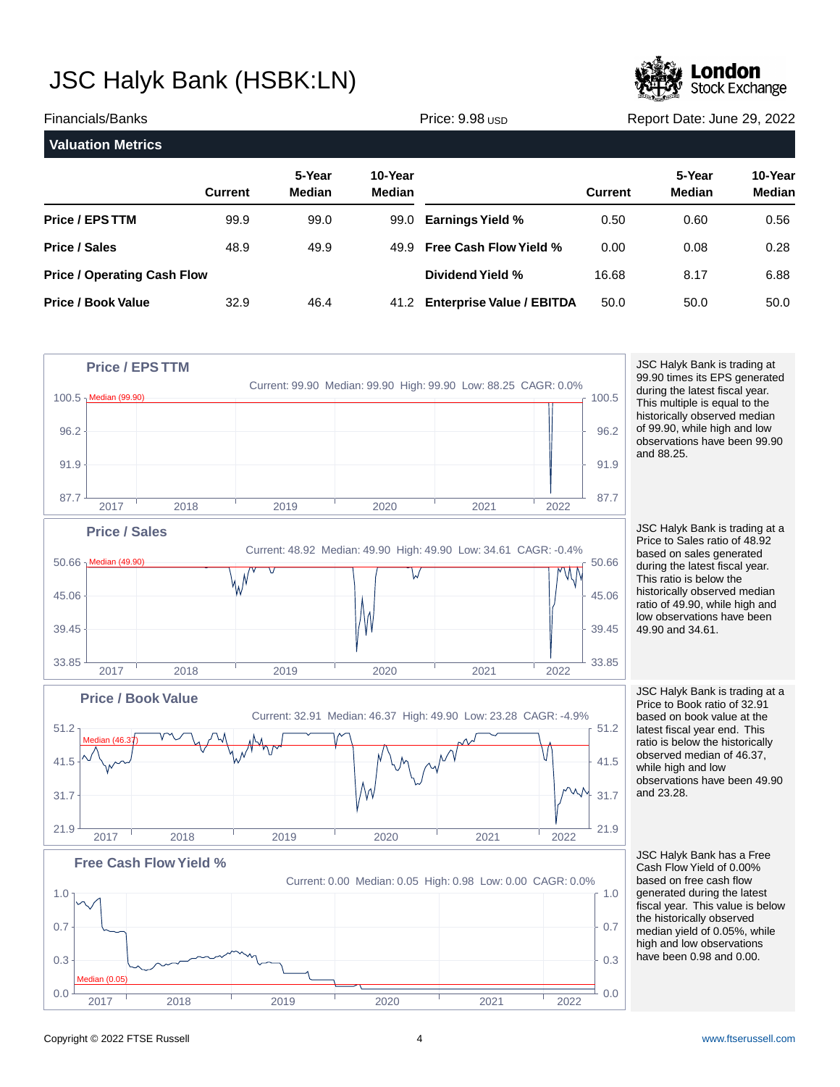

| Financials/Banks                   |                |                         | Price: 9.98 USD   |                                  |                | Report Date: June 29, 2022 |                          |  |
|------------------------------------|----------------|-------------------------|-------------------|----------------------------------|----------------|----------------------------|--------------------------|--|
| <b>Valuation Metrics</b>           |                |                         |                   |                                  |                |                            |                          |  |
|                                    | <b>Current</b> | 5-Year<br><b>Median</b> | 10-Year<br>Median |                                  | <b>Current</b> | 5-Year<br>Median           | 10-Year<br><b>Median</b> |  |
| <b>Price / EPS TTM</b>             | 99.9           | 99.0                    | 99.0              | <b>Earnings Yield %</b>          | 0.50           | 0.60                       | 0.56                     |  |
| <b>Price / Sales</b>               | 48.9           | 49.9                    | 49.9              | <b>Free Cash Flow Yield %</b>    | 0.00           | 0.08                       | 0.28                     |  |
| <b>Price / Operating Cash Flow</b> |                |                         |                   | Dividend Yield %                 | 16.68          | 8.17                       | 6.88                     |  |
| <b>Price / Book Value</b>          | 32.9           | 46.4                    | 41.2              | <b>Enterprise Value / EBITDA</b> | 50.0           | 50.0                       | 50.0                     |  |



JSC Halyk Bank is trading at 99.90 times its EPS generated during the latest fiscal year. This multiple is equal to the historically observed median of 99.90, while high and low observations have been 99.90 and 88.25.

JSC Halyk Bank is trading at a Price to Sales ratio of 48.92 based on sales generated during the latest fiscal year. This ratio is below the historically observed median ratio of 49.90, while high and low observations have been 49.90 and 34.61.

JSC Halyk Bank is trading at a Price to Book ratio of 32.91 based on book value at the latest fiscal year end. This ratio is below the historically observed median of 46.37, while high and low observations have been 49.90 and 23.28.

JSC Halyk Bank has a Free Cash Flow Yield of 0.00% based on free cash flow generated during the latest fiscal year. This value is below the historically observed median yield of 0.05%, while high and low observations have been 0.98 and 0.00.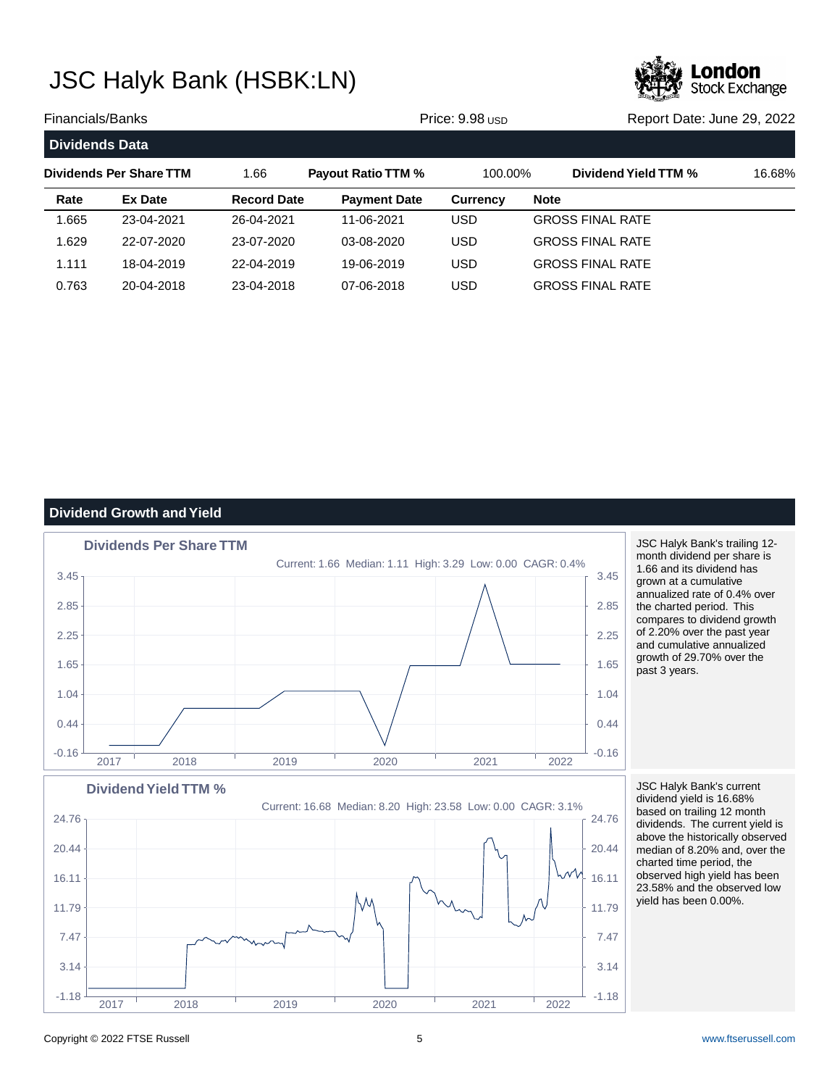

| Financials/Banks<br>Price: 9.98 USD |                         |                    |                           | Report Date: June 29, 2022 |                         |        |
|-------------------------------------|-------------------------|--------------------|---------------------------|----------------------------|-------------------------|--------|
| <b>Dividends Data</b>               |                         |                    |                           |                            |                         |        |
|                                     | Dividends Per Share TTM | 1.66               | <b>Payout Ratio TTM %</b> | 100.00%                    | Dividend Yield TTM %    | 16.68% |
| Rate                                | Ex Date                 | <b>Record Date</b> | <b>Payment Date</b>       | <b>Currency</b>            | <b>Note</b>             |        |
| 1.665                               | 23-04-2021              | 26-04-2021         | 11-06-2021                | USD                        | <b>GROSS FINAL RATE</b> |        |
| 1.629                               | 22-07-2020              | 23-07-2020         | 03-08-2020                | USD                        | <b>GROSS FINAL RATE</b> |        |
| 1.111                               | 18-04-2019              | 22-04-2019         | 19-06-2019                | USD                        | <b>GROSS FINAL RATE</b> |        |
| 0.763                               | 20-04-2018              | 23-04-2018         | 07-06-2018                | USD.                       | <b>GROSS FINAL RATE</b> |        |

### **Dividend Growth and Yield**



JSC Halyk Bank's trailing 12 month dividend per share is 1.66 and its dividend has grown at a cumulative annualized rate of 0.4% over the charted period. This compares to dividend growth of 2.20% over the past year and cumulative annualized growth of 29.70% over the past 3 years.

JSC Halyk Bank's current dividend yield is 16.68% based on trailing 12 month dividends. The current yield is above the historically observed median of 8.20% and, over the charted time period, the observed high yield has been 23.58% and the observed low yield has been 0.00%.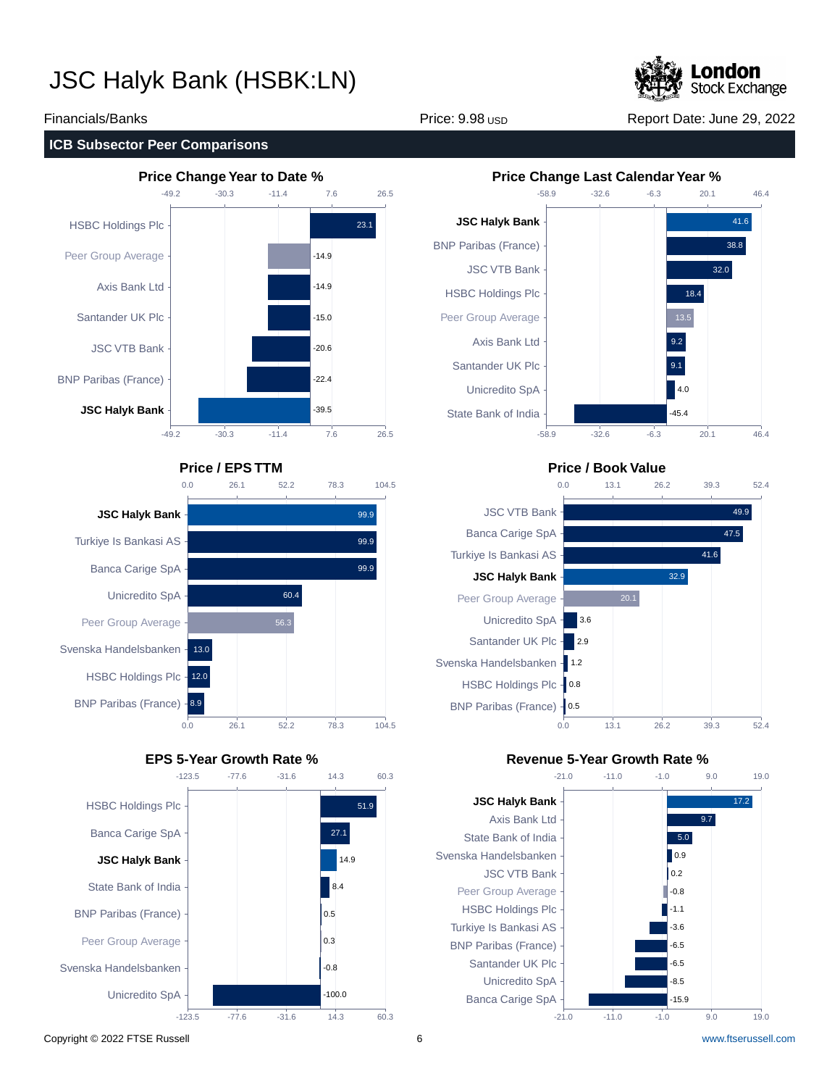

### Financials/Banks **Price: 9.98 USD Report Date: June 29, 2022** Report Date: June 29, 2022

### **ICB Subsector Peer Comparisons**



### **Price / EPS TTM Price / Book Value**









### **EPS 5-Year Growth Rate % Revenue 5-Year Growth Rate %**



Copyright © 2022 FTSE Russell 6 [www.ftserussell.com](http://www.ftserussell.com)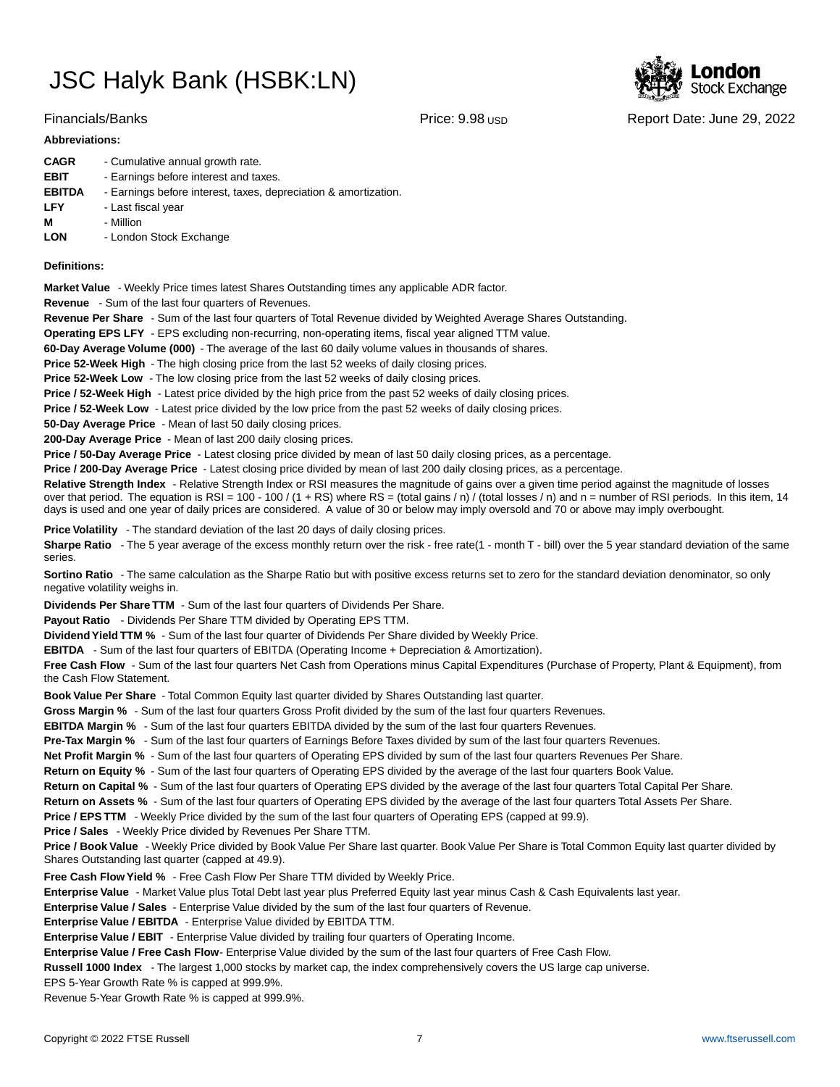### Financials/Banks **Price: 9.98 USD Report Date: June 29, 2022** Report Date: June 29, 2022

### **Abbreviations:**

| <b>CAGR</b>   | - Cumulative annual growth rate.                                |
|---------------|-----------------------------------------------------------------|
| <b>EBIT</b>   | - Earnings before interest and taxes.                           |
| <b>EBITDA</b> | - Earnings before interest, taxes, depreciation & amortization. |
| <b>LFY</b>    | - Last fiscal year                                              |
| м             | - Million                                                       |
| <b>LON</b>    | - London Stock Exchange                                         |

### **Definitions:**

**Market Value** - Weekly Price times latest Shares Outstanding times any applicable ADR factor.

**Revenue** - Sum of the last four quarters of Revenues.

**Revenue Per Share** - Sum of the last four quarters of Total Revenue divided by Weighted Average Shares Outstanding.

**Operating EPS LFY** - EPS excluding non-recurring, non-operating items, fiscal year aligned TTM value.

60-Day Average Volume (000) - The average of the last 60 daily volume values in thousands of shares.

**Price 52-Week High** - The high closing price from the last 52 weeks of daily closing prices.

**Price 52-Week Low** - The low closing price from the last 52 weeks of daily closing prices.

**Price / 52-Week High** - Latest price divided by the high price from the past 52 weeks of daily closing prices.

**Price / 52-Week Low** - Latest price divided by the low price from the past 52 weeks of daily closing prices.

**50-Day Average Price** - Mean of last 50 daily closing prices.

**200-Day Average Price** - Mean of last 200 daily closing prices.

Price / 50-Day Average Price - Latest closing price divided by mean of last 50 daily closing prices, as a percentage.

**Price / 200-Day Average Price** - Latest closing price divided by mean of last 200 daily closing prices, as a percentage.

Relative Strength Index - Relative Strength Index or RSI measures the magnitude of gains over a given time period against the magnitude of losses over that period. The equation is RSI = 100 - 100 / (1 + RS) where RS = (total gains / n) / (total losses / n) and n = number of RSI periods. In this item, 14 days is used and one year of daily prices are considered. A value of 30 or below may imply oversold and 70 or above may imply overbought.

**Price Volatility** - The standard deviation of the last 20 days of daily closing prices.

Sharpe Ratio - The 5 year average of the excess monthly return over the risk - free rate(1 - month T - bill) over the 5 year standard deviation of the same series.

**Sortino Ratio** - The same calculation as the Sharpe Ratio but with positive excess returns set to zero for the standard deviation denominator, so only negative volatility weighs in.

**Dividends Per Share TTM** - Sum of the last four quarters of Dividends Per Share.

Payout Ratio - Dividends Per Share TTM divided by Operating EPS TTM.

**Dividend Yield TTM %** - Sum of the last four quarter of Dividends Per Share divided by Weekly Price.

**EBITDA** - Sum of the last four quarters of EBITDA (Operating Income + Depreciation & Amortization).

**Free Cash Flow** - Sum of the last four quarters Net Cash from Operations minus Capital Expenditures (Purchase of Property, Plant & Equipment), from the Cash Flow Statement.

**Book Value Per Share** - Total Common Equity last quarter divided by Shares Outstanding last quarter.

**Gross Margin %** - Sum of the last four quarters Gross Profit divided by the sum of the last four quarters Revenues.

**EBITDA Margin %** - Sum of the last four quarters EBITDA divided by the sum of the last four quarters Revenues.

**Pre-Tax Margin %** - Sum of the last four quarters of Earnings Before Taxes divided by sum of the last four quarters Revenues.

**Net Profit Margin %** - Sum of the last four quarters of Operating EPS divided by sum of the last four quarters Revenues Per Share.

**Return on Equity %** - Sum of the last four quarters of Operating EPS divided by the average of the last four quarters Book Value.

**Return on Capital %** - Sum of the last four quarters of Operating EPS divided by the average of the last four quarters Total Capital Per Share.

**Return on Assets %** - Sum of the last four quarters of Operating EPS divided by the average of the last four quarters Total Assets Per Share.

**Price / EPS TTM** - Weekly Price divided by the sum of the last four quarters of Operating EPS (capped at 99.9).

**Price / Sales** - Weekly Price divided by Revenues Per Share TTM.

**Price / Book Value** - Weekly Price divided by Book Value Per Share last quarter. Book Value Per Share is Total Common Equity last quarter divided by Shares Outstanding last quarter (capped at 49.9).

**Free Cash Flow Yield %** - Free Cash Flow Per Share TTM divided by Weekly Price.

Enterprise Value - Market Value plus Total Debt last year plus Preferred Equity last year minus Cash & Cash Equivalents last year.

**Enterprise Value / Sales** - Enterprise Value divided by the sum of the last four quarters of Revenue.

**Enterprise Value / EBITDA** - Enterprise Value divided by EBITDA TTM.

**Enterprise Value / EBIT** - Enterprise Value divided by trailing four quarters of Operating Income.

Enterprise Value / Free Cash Flow- Enterprise Value divided by the sum of the last four quarters of Free Cash Flow.

**Russell 1000 Index** - The largest 1,000 stocks by market cap, the index comprehensively covers the US large cap universe.

EPS 5-Year Growth Rate % is capped at 999.9%.

Revenue 5-Year Growth Rate % is capped at 999.9%.